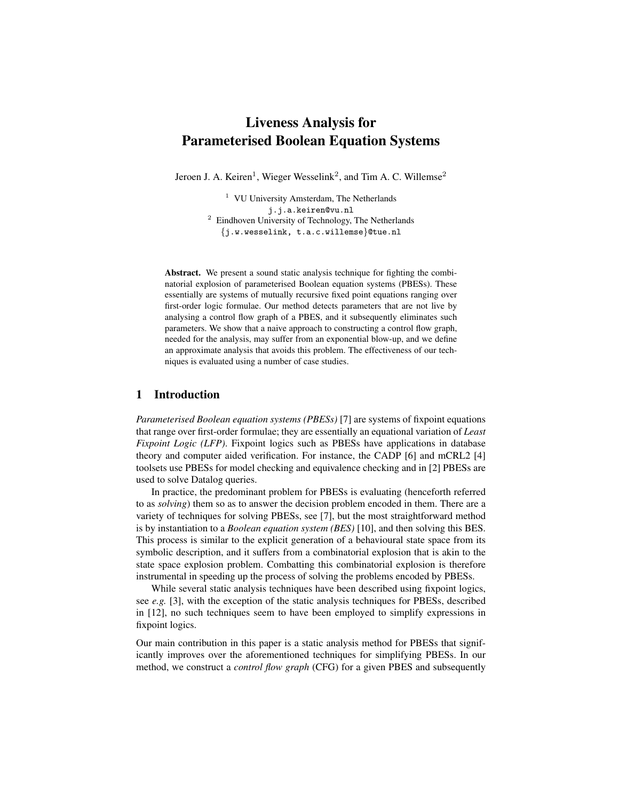# Liveness Analysis for Parameterised Boolean Equation Systems

Jeroen J. A. Keiren<sup>1</sup>, Wieger Wesselink<sup>2</sup>, and Tim A. C. Willemse<sup>2</sup>

<sup>1</sup> VU University Amsterdam, The Netherlands j.j.a.keiren@vu.nl <sup>2</sup> Eindhoven University of Technology, The Netherlands {j.w.wesselink, t.a.c.willemse}@tue.nl

Abstract. We present a sound static analysis technique for fighting the combinatorial explosion of parameterised Boolean equation systems (PBESs). These essentially are systems of mutually recursive fixed point equations ranging over first-order logic formulae. Our method detects parameters that are not live by analysing a control flow graph of a PBES, and it subsequently eliminates such parameters. We show that a naive approach to constructing a control flow graph, needed for the analysis, may suffer from an exponential blow-up, and we define an approximate analysis that avoids this problem. The effectiveness of our techniques is evaluated using a number of case studies.

# 1 Introduction

*Parameterised Boolean equation systems (PBESs)* [7] are systems of fixpoint equations that range over first-order formulae; they are essentially an equational variation of *Least Fixpoint Logic (LFP)*. Fixpoint logics such as PBESs have applications in database theory and computer aided verification. For instance, the CADP [6] and mCRL2 [4] toolsets use PBESs for model checking and equivalence checking and in [2] PBESs are used to solve Datalog queries.

In practice, the predominant problem for PBESs is evaluating (henceforth referred to as *solving*) them so as to answer the decision problem encoded in them. There are a variety of techniques for solving PBESs, see [7], but the most straightforward method is by instantiation to a *Boolean equation system (BES)* [10], and then solving this BES. This process is similar to the explicit generation of a behavioural state space from its symbolic description, and it suffers from a combinatorial explosion that is akin to the state space explosion problem. Combatting this combinatorial explosion is therefore instrumental in speeding up the process of solving the problems encoded by PBESs.

While several static analysis techniques have been described using fixpoint logics, see *e.g.* [3], with the exception of the static analysis techniques for PBESs, described in [12], no such techniques seem to have been employed to simplify expressions in fixpoint logics.

Our main contribution in this paper is a static analysis method for PBESs that significantly improves over the aforementioned techniques for simplifying PBESs. In our method, we construct a *control flow graph* (CFG) for a given PBES and subsequently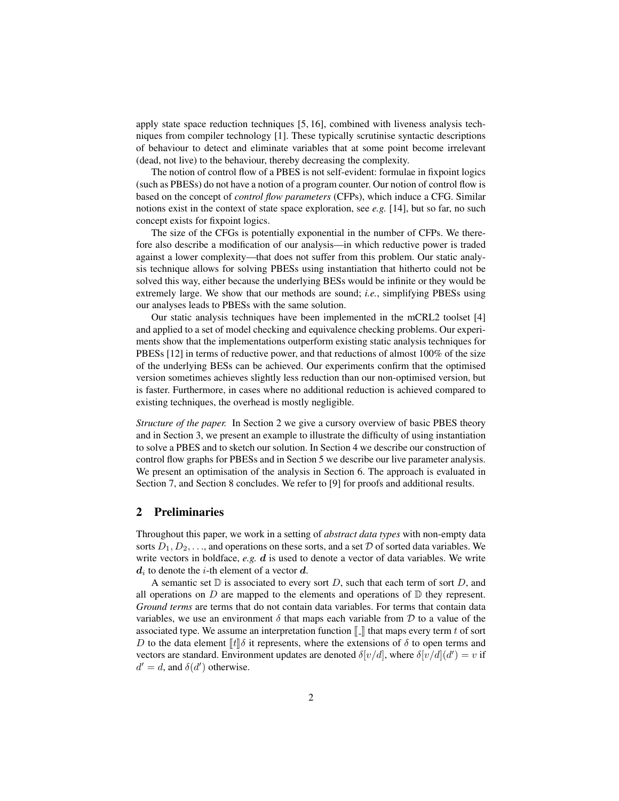apply state space reduction techniques [5, 16], combined with liveness analysis techniques from compiler technology [1]. These typically scrutinise syntactic descriptions of behaviour to detect and eliminate variables that at some point become irrelevant (dead, not live) to the behaviour, thereby decreasing the complexity.

The notion of control flow of a PBES is not self-evident: formulae in fixpoint logics (such as PBESs) do not have a notion of a program counter. Our notion of control flow is based on the concept of *control flow parameters* (CFPs), which induce a CFG. Similar notions exist in the context of state space exploration, see *e.g.* [14], but so far, no such concept exists for fixpoint logics.

The size of the CFGs is potentially exponential in the number of CFPs. We therefore also describe a modification of our analysis—in which reductive power is traded against a lower complexity—that does not suffer from this problem. Our static analysis technique allows for solving PBESs using instantiation that hitherto could not be solved this way, either because the underlying BESs would be infinite or they would be extremely large. We show that our methods are sound; *i.e.*, simplifying PBESs using our analyses leads to PBESs with the same solution.

Our static analysis techniques have been implemented in the mCRL2 toolset [4] and applied to a set of model checking and equivalence checking problems. Our experiments show that the implementations outperform existing static analysis techniques for PBESs [12] in terms of reductive power, and that reductions of almost 100% of the size of the underlying BESs can be achieved. Our experiments confirm that the optimised version sometimes achieves slightly less reduction than our non-optimised version, but is faster. Furthermore, in cases where no additional reduction is achieved compared to existing techniques, the overhead is mostly negligible.

*Structure of the paper.* In Section 2 we give a cursory overview of basic PBES theory and in Section 3, we present an example to illustrate the difficulty of using instantiation to solve a PBES and to sketch our solution. In Section 4 we describe our construction of control flow graphs for PBESs and in Section 5 we describe our live parameter analysis. We present an optimisation of the analysis in Section 6. The approach is evaluated in Section 7, and Section 8 concludes. We refer to [9] for proofs and additional results.

#### 2 Preliminaries

Throughout this paper, we work in a setting of *abstract data types* with non-empty data sorts  $D_1, D_2, \ldots$ , and operations on these sorts, and a set  $D$  of sorted data variables. We write vectors in boldface, *e.g.* d is used to denote a vector of data variables. We write  $d_i$  to denote the *i*-th element of a vector  $d$ .

A semantic set  $D$  is associated to every sort  $D$ , such that each term of sort  $D$ , and all operations on  $D$  are mapped to the elements and operations of  $D$  they represent. *Ground terms* are terms that do not contain data variables. For terms that contain data variables, we use an environment  $\delta$  that maps each variable from  $\mathcal D$  to a value of the associated type. We assume an interpretation function  $\llbracket \cdot \rrbracket$  that maps every term t of sort D to the data element  $\llbracket t \rrbracket \delta$  it represents, where the extensions of  $\delta$  to open terms and vectors are standard. Environment updates are denoted  $\delta[v/d]$ , where  $\delta[v/d](d') = v$  if  $d' = d$ , and  $\delta(d')$  otherwise.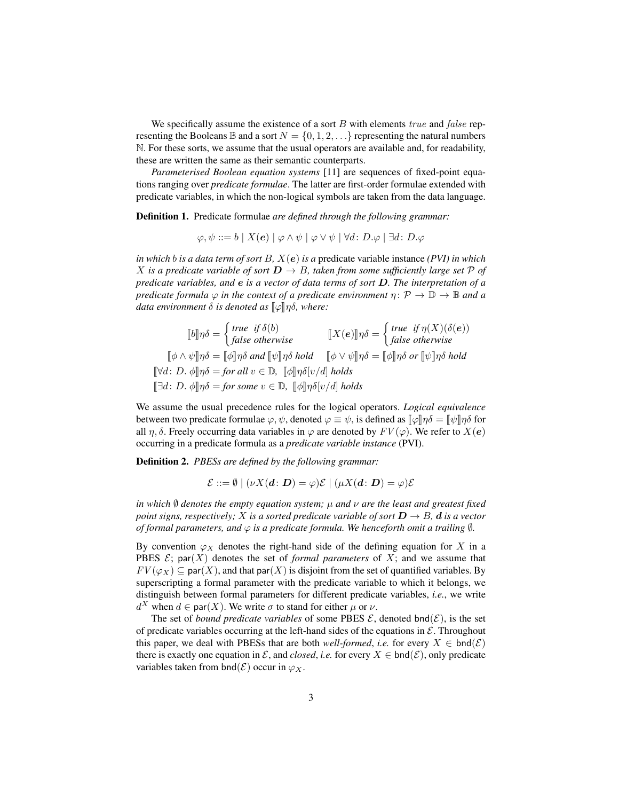We specifically assume the existence of a sort  $B$  with elements true and false representing the Booleans  $\mathbb B$  and a sort  $N = \{0, 1, 2, \ldots\}$  representing the natural numbers N. For these sorts, we assume that the usual operators are available and, for readability, these are written the same as their semantic counterparts.

*Parameterised Boolean equation systems* [11] are sequences of fixed-point equations ranging over *predicate formulae*. The latter are first-order formulae extended with predicate variables, in which the non-logical symbols are taken from the data language.

Definition 1. Predicate formulae *are defined through the following grammar:*

$$
\varphi, \psi ::= b \mid X(e) \mid \varphi \land \psi \mid \varphi \lor \psi \mid \forall d: D.\varphi \mid \exists d: D.\varphi
$$

*in which* b *is a data term of sort* B*,* X(e) *is a* predicate variable instance *(PVI) in which* X is a predicate variable of sort  $D \to B$ , taken from some sufficiently large set P of *predicate variables, and* e *is a vector of data terms of sort* D*. The interpretation of a predicate formula*  $\varphi$  *in the context of a predicate environment*  $\eta \colon \mathcal{P} \to \mathbb{D} \to \mathbb{B}$  *and a data environment*  $\delta$  *is denoted as*  $\llbracket \varphi \rrbracket \eta \delta$ *, where:* 

$$
\llbracket b \rrbracket \eta \delta = \begin{cases} \text{true} & \text{if } \delta(b) \\ \text{false} & \text{otherwise} \end{cases} \qquad \llbracket X(e) \rrbracket \eta \delta = \begin{cases} \text{true} & \text{if } \eta(X)(\delta(e)) \\ \text{false} & \text{otherwise} \end{cases}
$$
\n
$$
\llbracket \phi \wedge \psi \rrbracket \eta \delta = \llbracket \phi \rrbracket \eta \delta \text{ and } \llbracket \psi \rrbracket \eta \delta \text{ hold} \qquad \llbracket \phi \vee \psi \rrbracket \eta \delta = \llbracket \phi \rrbracket \eta \delta \text{ or } \llbracket \psi \rrbracket \eta \delta \text{ hold}
$$
\n
$$
\llbracket \exists d: D. \phi \rrbracket \eta \delta = \text{for some } v \in \mathbb{D}, \ \llbracket \phi \rrbracket \eta \delta[v/d] \text{ holds}
$$

We assume the usual precedence rules for the logical operators. *Logical equivalence* between two predicate formulae  $\varphi, \psi$ , denoted  $\varphi \equiv \psi$ , is defined as  $\psi \parallel \eta \delta = \psi \parallel \eta \delta$  for all  $\eta$ ,  $\delta$ . Freely occurring data variables in  $\varphi$  are denoted by  $FV(\varphi)$ . We refer to  $X(e)$ occurring in a predicate formula as a *predicate variable instance* (PVI).

Definition 2. *PBESs are defined by the following grammar:*

$$
\mathcal{E} ::= \emptyset \mid (\nu X(\mathbf{d} : \mathbf{D}) = \varphi)\mathcal{E} \mid (\mu X(\mathbf{d} : \mathbf{D}) = \varphi)\mathcal{E}
$$

*in which* ∅ *denotes the empty equation system;* µ *and* ν *are the least and greatest fixed point signs, respectively;* X *is a sorted predicate variable of sort*  $D \rightarrow B$ *, d is a vector of formal parameters, and*  $\varphi$  *is a predicate formula. We henceforth omit a trailing*  $\emptyset$ *.* 

By convention  $\varphi_X$  denotes the right-hand side of the defining equation for X in a PBES  $\mathcal{E}$ ; par $(X)$  denotes the set of *formal parameters* of X; and we assume that  $FV(\varphi_X) \subseteq$  par $(X)$ , and that par $(X)$  is disjoint from the set of quantified variables. By superscripting a formal parameter with the predicate variable to which it belongs, we distinguish between formal parameters for different predicate variables, *i.e.*, we write  $d^X$  when  $d \in \text{par}(X)$ . We write  $\sigma$  to stand for either  $\mu$  or  $\nu$ .

The set of *bound predicate variables* of some PBES  $\mathcal{E}$ , denoted bnd $(\mathcal{E})$ , is the set of predicate variables occurring at the left-hand sides of the equations in  $\mathcal{E}$ . Throughout this paper, we deal with PBESs that are both *well-formed*, *i.e.* for every  $X \in \text{bnd}(\mathcal{E})$ there is exactly one equation in  $\mathcal{E}$ , and *closed*, *i.e.* for every  $X \in \text{bnd}(\mathcal{E})$ , only predicate variables taken from bnd( $\mathcal{E}$ ) occur in  $\varphi_X$ .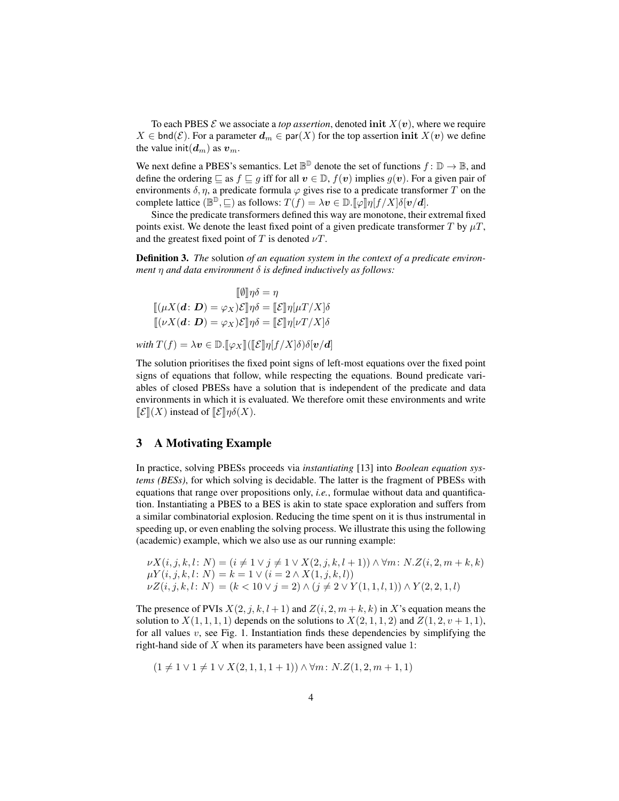To each PBES  $\mathcal E$  we associate a *top assertion*, denoted init  $X(v)$ , where we require  $X \in \text{bnd}(\mathcal{E})$ . For a parameter  $d_m \in \text{par}(X)$  for the top assertion init  $X(v)$  we define the value init $(d_m)$  as  $v_m$ .

We next define a PBES's semantics. Let  $\mathbb{B}^{\mathbb{D}}$  denote the set of functions  $f: \mathbb{D} \to \mathbb{B}$ , and define the ordering  $\sqsubseteq$  as  $f \sqsubseteq g$  iff for all  $v \in \mathbb{D}$ ,  $f(v)$  implies  $g(v)$ . For a given pair of environments  $\delta$ ,  $\eta$ , a predicate formula  $\varphi$  gives rise to a predicate transformer T on the complete lattice  $(\mathbb{B}^{\mathbb{D}}, \underline{\mathbb{D}})$  as follows:  $T(f) = \lambda v \in \mathbb{D} \cdot [\![\varphi]\!] \eta[f/X] \delta[v/d]$ .<br>Since the predicate transformers defined this way are monotone, their

Since the predicate transformers defined this way are monotone, their extremal fixed points exist. We denote the least fixed point of a given predicate transformer T by  $\mu$ T, and the greatest fixed point of T is denoted  $\nu T$ .

Definition 3. *The* solution *of an equation system in the context of a predicate environment* η *and data environment* δ *is defined inductively as follows:*

$$
\llbracket \emptyset \rrbracket \eta \delta = \eta
$$

$$
\llbracket (\mu X(\mathbf{d} : \mathbf{D}) = \varphi_X) \mathcal{E} \rrbracket \eta \delta = \llbracket \mathcal{E} \rrbracket \eta [\mu T / X] \delta
$$

$$
\llbracket (\nu X(\mathbf{d} : \mathbf{D}) = \varphi_X) \mathcal{E} \rrbracket \eta \delta = \llbracket \mathcal{E} \rrbracket \eta [\nu T / X] \delta
$$

*with*  $T(f) = \lambda v \in \mathbb{D}$ .  $[\varphi_X]$  ( $[\varnothing] \eta[f/X] \delta \delta[v/d]$ 

The solution prioritises the fixed point signs of left-most equations over the fixed point signs of equations that follow, while respecting the equations. Bound predicate variables of closed PBESs have a solution that is independent of the predicate and data environments in which it is evaluated. We therefore omit these environments and write  $\mathcal{L}(\mathcal{X})$  instead of  $\mathcal{L}(\mathcal{X})$ .

#### 3 A Motivating Example

In practice, solving PBESs proceeds via *instantiating* [13] into *Boolean equation systems (BESs)*, for which solving is decidable. The latter is the fragment of PBESs with equations that range over propositions only, *i.e.*, formulae without data and quantification. Instantiating a PBES to a BES is akin to state space exploration and suffers from a similar combinatorial explosion. Reducing the time spent on it is thus instrumental in speeding up, or even enabling the solving process. We illustrate this using the following (academic) example, which we also use as our running example:

$$
\nu X(i, j, k, l: N) = (i \neq 1 \lor j \neq 1 \lor X(2, j, k, l + 1)) \land \forall m: N.Z(i, 2, m + k, k)
$$
  
\n
$$
\mu Y(i, j, k, l: N) = k = 1 \lor (i = 2 \land X(1, j, k, l))
$$
  
\n
$$
\nu Z(i, j, k, l: N) = (k < 10 \lor j = 2) \land (j \neq 2 \lor Y(1, 1, l, 1)) \land Y(2, 2, 1, l)
$$

The presence of PVIs  $X(2, j, k, l + 1)$  and  $Z(i, 2, m + k, k)$  in X's equation means the solution to  $X(1,1,1,1)$  depends on the solutions to  $X(2,1,1,2)$  and  $Z(1,2,v+1,1)$ , for all values  $v$ , see Fig. 1. Instantiation finds these dependencies by simplifying the right-hand side of  $X$  when its parameters have been assigned value 1:

$$
(1 \neq 1 \lor 1 \neq 1 \lor X(2, 1, 1, 1 + 1)) \land \forall m: N.Z(1, 2, m + 1, 1)
$$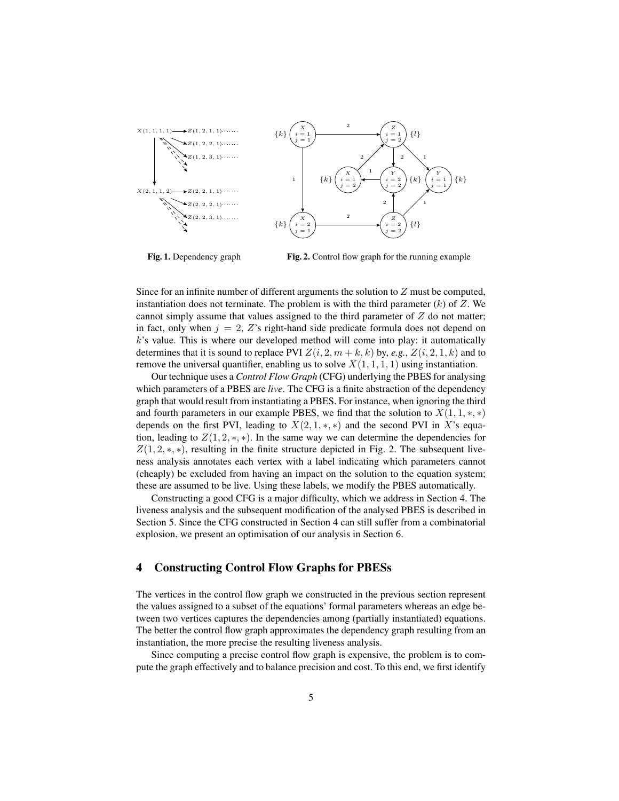

Fig. 1. Dependency graph

Fig. 2. Control flow graph for the running example

Since for an infinite number of different arguments the solution to  $Z$  must be computed, instantiation does not terminate. The problem is with the third parameter  $(k)$  of Z. We cannot simply assume that values assigned to the third parameter of  $Z$  do not matter; in fact, only when  $j = 2$ , Z's right-hand side predicate formula does not depend on  $k$ 's value. This is where our developed method will come into play: it automatically determines that it is sound to replace PVI  $Z(i, 2, m + k, k)$  by, *e.g.*,  $Z(i, 2, 1, k)$  and to remove the universal quantifier, enabling us to solve  $X(1, 1, 1, 1)$  using instantiation.

Our technique uses a *Control Flow Graph* (CFG) underlying the PBES for analysing which parameters of a PBES are *live*. The CFG is a finite abstraction of the dependency graph that would result from instantiating a PBES. For instance, when ignoring the third and fourth parameters in our example PBES, we find that the solution to  $X(1, 1, \ast, \ast)$ depends on the first PVI, leading to  $X(2,1,*,*)$  and the second PVI in X's equation, leading to  $Z(1, 2, \ast, \ast)$ . In the same way we can determine the dependencies for  $Z(1, 2, \ast, \ast)$ , resulting in the finite structure depicted in Fig. 2. The subsequent liveness analysis annotates each vertex with a label indicating which parameters cannot (cheaply) be excluded from having an impact on the solution to the equation system; these are assumed to be live. Using these labels, we modify the PBES automatically.

Constructing a good CFG is a major difficulty, which we address in Section 4. The liveness analysis and the subsequent modification of the analysed PBES is described in Section 5. Since the CFG constructed in Section 4 can still suffer from a combinatorial explosion, we present an optimisation of our analysis in Section 6.

# 4 Constructing Control Flow Graphs for PBESs

The vertices in the control flow graph we constructed in the previous section represent the values assigned to a subset of the equations' formal parameters whereas an edge between two vertices captures the dependencies among (partially instantiated) equations. The better the control flow graph approximates the dependency graph resulting from an instantiation, the more precise the resulting liveness analysis.

Since computing a precise control flow graph is expensive, the problem is to compute the graph effectively and to balance precision and cost. To this end, we first identify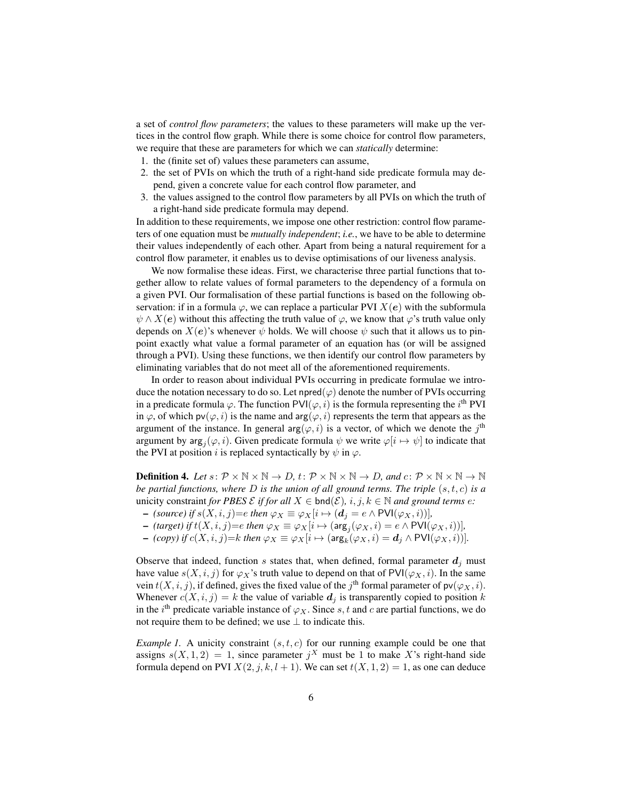a set of *control flow parameters*; the values to these parameters will make up the vertices in the control flow graph. While there is some choice for control flow parameters, we require that these are parameters for which we can *statically* determine:

- 1. the (finite set of) values these parameters can assume,
- 2. the set of PVIs on which the truth of a right-hand side predicate formula may depend, given a concrete value for each control flow parameter, and
- 3. the values assigned to the control flow parameters by all PVIs on which the truth of a right-hand side predicate formula may depend.

In addition to these requirements, we impose one other restriction: control flow parameters of one equation must be *mutually independent*; *i.e.*, we have to be able to determine their values independently of each other. Apart from being a natural requirement for a control flow parameter, it enables us to devise optimisations of our liveness analysis.

We now formalise these ideas. First, we characterise three partial functions that together allow to relate values of formal parameters to the dependency of a formula on a given PVI. Our formalisation of these partial functions is based on the following observation: if in a formula  $\varphi$ , we can replace a particular PVI  $X(e)$  with the subformula  $\psi \wedge X(e)$  without this affecting the truth value of  $\varphi$ , we know that  $\varphi$ 's truth value only depends on  $X(e)$ 's whenever  $\psi$  holds. We will choose  $\psi$  such that it allows us to pinpoint exactly what value a formal parameter of an equation has (or will be assigned through a PVI). Using these functions, we then identify our control flow parameters by eliminating variables that do not meet all of the aforementioned requirements.

In order to reason about individual PVIs occurring in predicate formulae we introduce the notation necessary to do so. Let npred $(\varphi)$  denote the number of PVIs occurring in a predicate formula  $\varphi$ . The function PVI( $\varphi$ , *i*) is the formula representing the *i*<sup>th</sup> PVI in  $\varphi$ , of which  $p\upsilon(\varphi, i)$  is the name and  $\arg(\varphi, i)$  represents the term that appears as the argument of the instance. In general arg $(\varphi, i)$  is a vector, of which we denote the  $j^{\text{th}}$ argument by arg<sub>j</sub> $(\varphi, i)$ . Given predicate formula  $\psi$  we write  $\varphi[i \mapsto \psi]$  to indicate that the PVI at position i is replaced syntactically by  $\psi$  in  $\varphi$ .

**Definition 4.** Let  $s: \mathcal{P} \times \mathbb{N} \times \mathbb{N} \to D$ ,  $t: \mathcal{P} \times \mathbb{N} \times \mathbb{N} \to D$ , and  $c: \mathcal{P} \times \mathbb{N} \times \mathbb{N} \to \mathbb{N}$ *be partial functions, where* D *is the union of all ground terms. The triple* (s, t, c) *is a* unicity constraint *for PBES*  $\mathcal{E}$  *if for all*  $X \in \text{bnd}(\mathcal{E})$ *, i, j, k*  $\in \mathbb{N}$  *and ground terms e:* 

- *(source)* if *s*(*X*, *i*, *j*)=*e then*  $\varphi$ *x* ≡  $\varphi$ *x*[*i* → (*d<sub><i>i*</sub> = *e* ∧ PVI( $\varphi$ *x*, *i*))],
- $\rightarrow$  *(target) if*  $t(X, i, j) = e$  *then*  $\varphi_X \equiv \varphi_X[i \mapsto (\arg_j(\varphi_X, i) = e \land \text{PVI}(\varphi_X, i))],$
- $\rightarrow$  *(copy)* if  $c(X, i, j) = k$  then  $\varphi_X \equiv \varphi_X[i \mapsto (\arg_k(\varphi_X, i) = \bm{d}_j \wedge \text{PVI}(\varphi_X, i))].$

Observe that indeed, function s states that, when defined, formal parameter  $d_i$  must have value  $s(X, i, j)$  for  $\varphi_X$ 's truth value to depend on that of PVI( $\varphi_X$ , i). In the same vein  $t(X, i, j)$ , if defined, gives the fixed value of the  $j^{\text{th}}$  formal parameter of  $\mathsf{pv}(\varphi_X, i)$ . Whenever  $c(X, i, j) = k$  the value of variable  $d_i$  is transparently copied to position k in the i<sup>th</sup> predicate variable instance of  $\varphi_X$ . Since s, t and c are partial functions, we do not require them to be defined; we use  $\perp$  to indicate this.

*Example 1.* A unicity constraint  $(s, t, c)$  for our running example could be one that assigns  $s(X, 1, 2) = 1$ , since parameter  $j^X$  must be 1 to make X's right-hand side formula depend on PVI  $X(2, j, k, l + 1)$ . We can set  $t(X, 1, 2) = 1$ , as one can deduce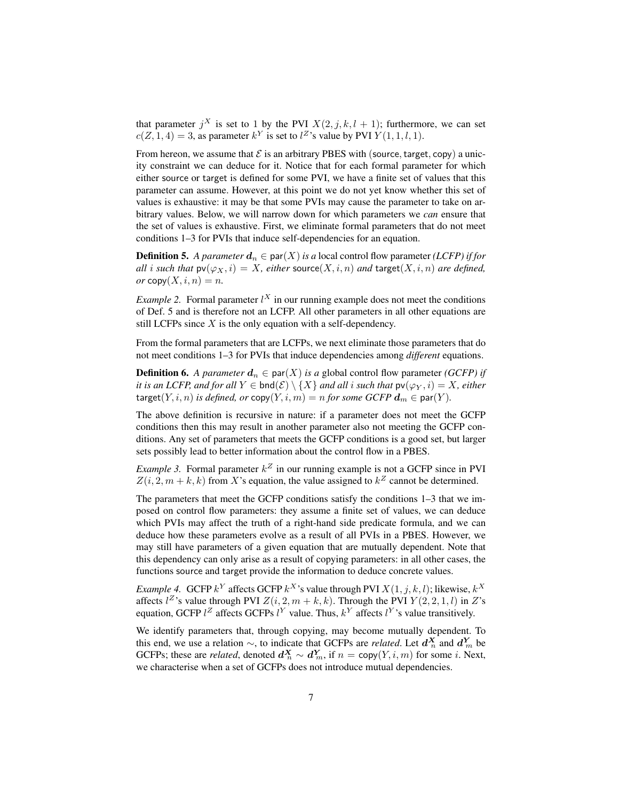that parameter  $j^X$  is set to 1 by the PVI  $X(2, j, k, l + 1)$ ; furthermore, we can set  $c(Z, 1, 4) = 3$ , as parameter  $k^Y$  is set to  $l^Z$ 's value by PVI  $Y(1, 1, l, 1)$ .

From hereon, we assume that  $\mathcal E$  is an arbitrary PBES with (source, target, copy) a unicity constraint we can deduce for it. Notice that for each formal parameter for which either source or target is defined for some PVI, we have a finite set of values that this parameter can assume. However, at this point we do not yet know whether this set of values is exhaustive: it may be that some PVIs may cause the parameter to take on arbitrary values. Below, we will narrow down for which parameters we *can* ensure that the set of values is exhaustive. First, we eliminate formal parameters that do not meet conditions 1–3 for PVIs that induce self-dependencies for an equation.

**Definition 5.** A parameter  $d_n \in \text{par}(X)$  is a local control flow parameter *(LCFP)* if for *all i such that*  $pv(\varphi_X, i) = X$ *, either* source $(X, i, n)$  *and* target $(X, i, n)$  *are defined, or* copy $(X, i, n) = n$ .

*Example 2.* Formal parameter  $l^X$  in our running example does not meet the conditions of Def. 5 and is therefore not an LCFP. All other parameters in all other equations are still LCFPs since  $X$  is the only equation with a self-dependency.

From the formal parameters that are LCFPs, we next eliminate those parameters that do not meet conditions 1–3 for PVIs that induce dependencies among *different* equations.

**Definition 6.** A parameter  $d_n \in \text{par}(X)$  is a global control flow parameter *(GCFP)* if *it is an LCFP, and for all*  $Y \in \text{bnd}(\mathcal{E}) \setminus \{X\}$  *and all i such that*  $\text{pv}(\varphi_Y, i) = X$ *, either* target(Y, i, n) is defined, or copy(Y, i, m) = n for some GCFP  $d_m \in \text{par}(Y)$ .

The above definition is recursive in nature: if a parameter does not meet the GCFP conditions then this may result in another parameter also not meeting the GCFP conditions. Any set of parameters that meets the GCFP conditions is a good set, but larger sets possibly lead to better information about the control flow in a PBES.

*Example 3.* Formal parameter  $k^Z$  in our running example is not a GCFP since in PVI  $Z(i, 2, m+k, k)$  from X's equation, the value assigned to  $k^Z$  cannot be determined.

The parameters that meet the GCFP conditions satisfy the conditions 1–3 that we imposed on control flow parameters: they assume a finite set of values, we can deduce which PVIs may affect the truth of a right-hand side predicate formula, and we can deduce how these parameters evolve as a result of all PVIs in a PBES. However, we may still have parameters of a given equation that are mutually dependent. Note that this dependency can only arise as a result of copying parameters: in all other cases, the functions source and target provide the information to deduce concrete values.

*Example 4.* GCFP  $k^Y$  affects GCFP  $k^X$ 's value through PVI  $X(1, j, k, l)$ ; likewise,  $k^X$ affects  $l^Z$ 's value through PVI  $Z(i, 2, m + k, k)$ . Through the PVI  $Y(2, 2, 1, l)$  in  $Z$ 's equation, GCFP  $l^Z$  affects GCFPs  $l^Y$  value. Thus,  $k^Y$  affects  $l^Y$ 's value transitively.

We identify parameters that, through copying, may become mutually dependent. To this end, we use a relation  $\sim$ , to indicate that GCFPs are *related*. Let  $d_n^X$  and  $d_m^Y$  be GCFPs; these are *related*, denoted  $d_{n}^{X} \sim d_{m}^{Y}$ , if  $n = \text{copy}(Y, i, m)$  for some *i*. Next, we characterise when a set of GCFPs does not introduce mutual dependencies.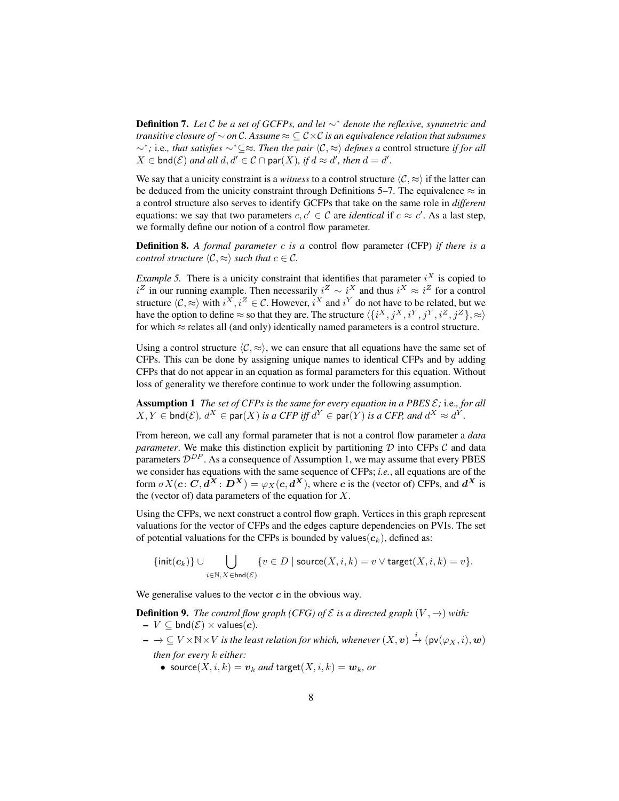Definition 7. *Let* C *be a set of GCFPs, and let* ∼<sup>∗</sup> *denote the reflexive, symmetric and transitive closure of* ∼ *on* C*. Assume* ≈ ⊆ C×C *is an equivalence relation that subsumes* ∼<sup>∗</sup> *;* i.e.*, that satisfies* ∼<sup>∗</sup>⊆≈*. Then the pair* hC, ≈i *defines a* control structure *if for all*  $X \in \text{bnd}(\mathcal{E})$  *and all*  $d, d' \in \mathcal{C} \cap \text{par}(X)$ *, if*  $d \approx d'$ *, then*  $d = d'$ *.* 

We say that a unicity constraint is a *witness* to a control structure  $\langle C, \approx \rangle$  if the latter can be deduced from the unicity constraint through Definitions 5–7. The equivalence  $\approx$  in a control structure also serves to identify GCFPs that take on the same role in *different* equations: we say that two parameters  $c, c' \in \mathcal{C}$  are *identical* if  $c \approx c'$ . As a last step, we formally define our notion of a control flow parameter.

Definition 8. *A formal parameter* c *is a* control flow parameter (CFP) *if there is a control structure*  $\langle \mathcal{C}, \approx \rangle$  *such that*  $c \in \mathcal{C}$ *.* 

*Example 5.* There is a unicity constraint that identifies that parameter  $i^X$  is copied to  $i^Z$  in our running example. Then necessarily  $i^Z \sim i^X$  and thus  $i^X \approx i^Z$  for a control structure  $\langle \mathcal{C}, \approx \rangle$  with  $i^X, i^Z \in \mathcal{C}$ . However,  $i^X$  and  $i^Y$  do not have to be related, but we have the option to define  $\approx$  so that they are. The structure  $\langle \{i^X, j^X, i^Y, j^Y, i^Z, j^Z\}, \approx \rangle$ for which  $\approx$  relates all (and only) identically named parameters is a control structure.

Using a control structure  $\langle \mathcal{C}, \approx \rangle$ , we can ensure that all equations have the same set of CFPs. This can be done by assigning unique names to identical CFPs and by adding CFPs that do not appear in an equation as formal parameters for this equation. Without loss of generality we therefore continue to work under the following assumption.

**Assumption 1** *The set of CFPs is the same for every equation in a PBES*  $\mathcal{E}$ *; i.e., for all*  $X, Y \in \text{bnd}(\mathcal{E}), d^X \in \text{par}(X)$  *is a CFP iff*  $d^Y \in \text{par}(Y)$  *is a CFP, and*  $d^X \approx d^Y$ .

From hereon, we call any formal parameter that is not a control flow parameter a *data parameter*. We make this distinction explicit by partitioning  $D$  into CFPs  $C$  and data parameters  $\mathcal{D}^{DP}$ . As a consequence of Assumption 1, we may assume that every PBES we consider has equations with the same sequence of CFPs; *i.e.*, all equations are of the form  $\sigma X(c: C, d^X : D^X) = \varphi_X(c, d^X)$ , where c is the (vector of) CFPs, and  $d^X$  is the (vector of) data parameters of the equation for  $X$ .

Using the CFPs, we next construct a control flow graph. Vertices in this graph represent valuations for the vector of CFPs and the edges capture dependencies on PVIs. The set of potential valuations for the CFPs is bounded by values( $c_k$ ), defined as:

$$
\{\operatorname{\mathsf{init}}(\mathbf{c}_k)\}\cup\bigcup_{i\in\mathbb{N},X\in\operatorname{\mathsf{bnd}}(\mathcal{E})}\{v\in D\mid\operatorname{\mathsf{source}}(X,i,k)=v\lor\operatorname{\mathsf{target}}(X,i,k)=v\}.
$$

We generalise values to the vector  $c$  in the obvious way.

**Definition 9.** *The control flow graph (CFG) of*  $\mathcal E$  *is a directed graph*  $(V, \rightarrow)$  *with:*  $-V \subseteq \text{bnd}(\mathcal{E}) \times \text{values}(c)$ .  $-\to\; \subseteq V\times \mathbb N\times V$  is the least relation for which, whenever  $(X,\bm v)\stackrel{i}{\to} ({\sf pv}(\varphi_X,i),\bm w)$ 

*then for every* k *either:*

• source $(X, i, k) = v_k$  *and* target $(X, i, k) = w_k$ *, or*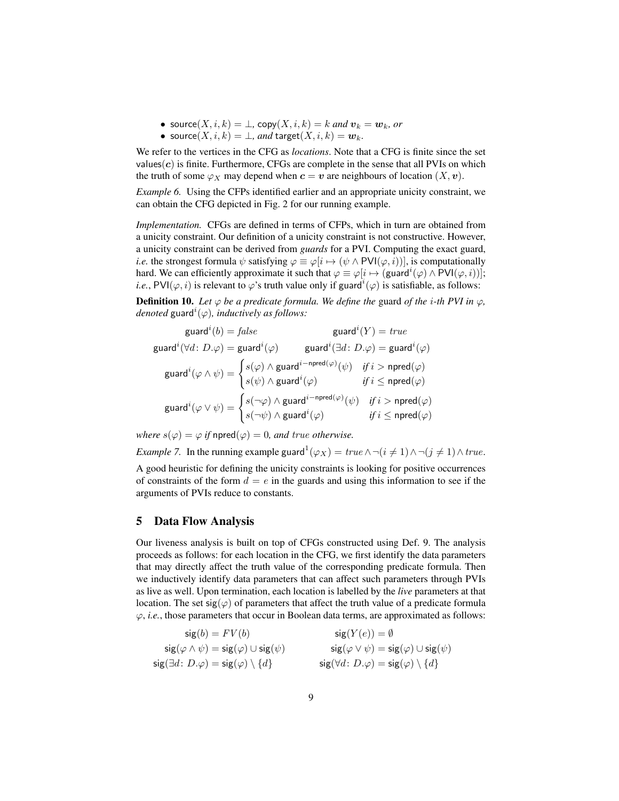- source $(X, i, k) = \bot$ , copy $(X, i, k) = k$  *and*  $v_k = w_k$ , *or*
- source $(X, i, k) = \bot$ , and target $(X, i, k) = w_k$ .

We refer to the vertices in the CFG as *locations*. Note that a CFG is finite since the set values $(c)$  is finite. Furthermore, CFGs are complete in the sense that all PVIs on which the truth of some  $\varphi_X$  may depend when  $c = v$  are neighbours of location  $(X, v)$ .

*Example 6.* Using the CFPs identified earlier and an appropriate unicity constraint, we can obtain the CFG depicted in Fig. 2 for our running example.

*Implementation.* CFGs are defined in terms of CFPs, which in turn are obtained from a unicity constraint. Our definition of a unicity constraint is not constructive. However, a unicity constraint can be derived from *guards* for a PVI. Computing the exact guard, *i.e.* the strongest formula  $\psi$  satisfying  $\varphi \equiv \varphi[i \mapsto (\psi \wedge \text{PVI}(\varphi, i))]$ , is computationally hard. We can efficiently approximate it such that  $\varphi \equiv \varphi[i \mapsto ($ guard<sup>i</sup> $(\varphi) \wedge \text{PVI}(\varphi, i))]$ ; *i.e.*,  $PVI(\varphi, i)$  is relevant to  $\varphi$ 's truth value only if guard<sup>*i*</sup>( $\varphi$ ) is satisfiable, as follows:

**Definition 10.** Let  $\varphi$  be a predicate formula. We define the guard of the *i*-th PVI in  $\varphi$ ,  $denoted$  guard<sup> $i$ </sup> $(\varphi)$ *, inductively as follows:* 

$$
\text{guard}^{i}(b) = \text{false} \qquad \qquad \text{guard}^{i}(Y) = \text{true}
$$
\n
$$
\text{guard}^{i}(\forall d: D.\varphi) = \text{guard}^{i}(\varphi) \qquad \text{guard}^{i}(\exists d: D.\varphi) = \text{guard}^{i}(\varphi)
$$
\n
$$
\text{guard}^{i}(\varphi \land \psi) = \begin{cases}\ns(\varphi) \land \text{guard}^{i-\text{npred}(\varphi)}(\psi) & \text{if } i > \text{npred}(\varphi) \\
s(\psi) \land \text{guard}^{i}(\varphi) & \text{if } i \leq \text{npred}(\varphi)\n\end{cases}
$$
\n
$$
\text{guard}^{i}(\varphi \lor \psi) = \begin{cases}\ns(\neg \varphi) \land \text{guard}^{i-\text{npred}(\varphi)}(\psi) & \text{if } i > \text{npred}(\varphi) \\
s(\neg \psi) \land \text{guard}^{i}(\varphi) & \text{if } i \leq \text{npred}(\varphi)\n\end{cases}
$$

*where*  $s(\varphi) = \varphi$  *if* npred $(\varphi) = 0$ *, and true otherwise.* 

*Example 7.* In the running example guard  $(\varphi_X) = \text{true} \land \neg(i \neq 1) \land \neg(j \neq 1) \land \text{true}.$ 

A good heuristic for defining the unicity constraints is looking for positive occurrences of constraints of the form  $d = e$  in the guards and using this information to see if the arguments of PVIs reduce to constants.

#### 5 Data Flow Analysis

Our liveness analysis is built on top of CFGs constructed using Def. 9. The analysis proceeds as follows: for each location in the CFG, we first identify the data parameters that may directly affect the truth value of the corresponding predicate formula. Then we inductively identify data parameters that can affect such parameters through PVIs as live as well. Upon termination, each location is labelled by the *live* parameters at that location. The set sig( $\varphi$ ) of parameters that affect the truth value of a predicate formula  $\varphi$ , *i.e.*, those parameters that occur in Boolean data terms, are approximated as follows:

$$
\begin{aligned} \mathsf{sig}(b) &= FV(b) & \mathsf{sig}(Y(e)) &= \emptyset \\ \mathsf{sig}(\varphi \land \psi) &= \mathsf{sig}(\varphi) \cup \mathsf{sig}(\psi) & \mathsf{sig}(\varphi \lor \psi) &= \mathsf{sig}(\varphi) \cup \mathsf{sig}(\psi) \\ \mathsf{sig}(\exists d\colon D.\varphi) &= \mathsf{sig}(\varphi) \setminus \{d\} & \mathsf{sig}(\forall d\colon D.\varphi) &= \mathsf{sig}(\varphi) \setminus \{d\} \end{aligned}
$$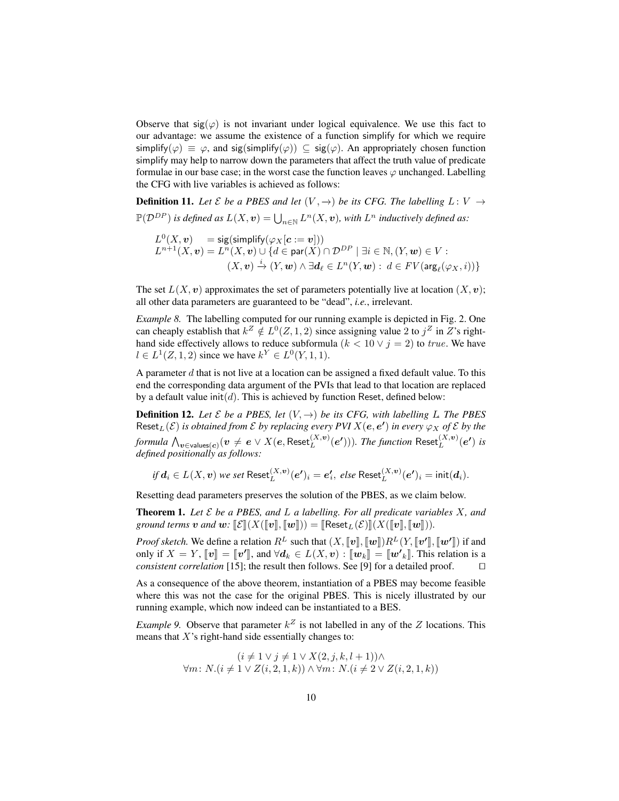Observe that  $sig(\varphi)$  is not invariant under logical equivalence. We use this fact to our advantage: we assume the existence of a function simplify for which we require simplify( $\varphi$ )  $\equiv \varphi$ , and sig(simplify( $\varphi$ ))  $\subseteq$  sig( $\varphi$ ). An appropriately chosen function simplify may help to narrow down the parameters that affect the truth value of predicate formulae in our base case; in the worst case the function leaves  $\varphi$  unchanged. Labelling the CFG with live variables is achieved as follows:

**Definition 11.** Let  $\mathcal{E}$  be a PBES and let  $(V, \rightarrow)$  be its CFG. The labelling  $L: V \rightarrow$  $\mathbb{P}(\mathcal{D}^{DP})$  is defined as  $L(X, v) = \bigcup_{n \in \mathbb{N}} L^n(X, v)$ , with  $L^n$  inductively defined as:

$$
L^{0}(X, v) = \text{sig}(\text{simplify}(\varphi_{X}[c := v]))
$$
  
\n
$$
L^{n+1}(X, v) = L^{n}(X, v) \cup \{d \in \text{par}(X) \cap \mathcal{D}^{DP} \mid \exists i \in \mathbb{N}, (Y, w) \in V :
$$
  
\n
$$
(X, v) \xrightarrow{i} (Y, w) \wedge \exists d_{\ell} \in L^{n}(Y, w) : d \in FV(\text{arg}_{\ell}(\varphi_{X}, i))\}
$$

The set  $L(X, v)$  approximates the set of parameters potentially live at location  $(X, v)$ ; all other data parameters are guaranteed to be "dead", *i.e.*, irrelevant.

*Example 8.* The labelling computed for our running example is depicted in Fig. 2. One can cheaply establish that  $k^Z \notin L^0(Z, 1, 2)$  since assigning value 2 to  $j^Z$  in Z's righthand side effectively allows to reduce subformula  $(k < 10 \vee j = 2)$  to *true*. We have  $l \in L^1(Z, 1, 2)$  since we have  $k^Y \in L^0(Y, 1, 1)$ .

A parameter  $d$  that is not live at a location can be assigned a fixed default value. To this end the corresponding data argument of the PVIs that lead to that location are replaced by a default value  $init(d)$ . This is achieved by function Reset, defined below:

**Definition 12.** Let  $\mathcal{E}$  be a PBES, let  $(V, \rightarrow)$  be its CFG, with labelling L. The PBES Reset<sub>L</sub>( $\mathcal{E}$ ) is obtained from  $\mathcal{E}$  by replacing every PVI  $X(e, e')$  in every  $\varphi_X$  of  $\mathcal{E}$  by the  ${\it formula}\,\ \bigwedge_{\bm{v}\in{\sf values}(\bm{c})}(\bm{v}\,\neq\,\bm{e}\vee X(\bm{e},{\sf{Reset}}_L^{(X,\bm{v})}(\bm{e}'))).$  *The function*  ${\sf{Reset}}_L^{(X,\bm{v})}(\bm{e}')$  *is defined positionally as follows:*

if 
$$
d_i \in L(X, v)
$$
 we set  $Reset_L^{(X, v)}(e')_i = e'_i$ , else  $Reset_L^{(X, v)}(e')_i = init(d_i)$ .

Resetting dead parameters preserves the solution of the PBES, as we claim below.

Theorem 1. *Let* E *be a PBES, and* L *a labelling. For all predicate variables* X*, and ground terms*  $\mathbf{v}$  *and*  $\mathbf{w}$ :  $\lbrack\!\lbrack\mathcal{E}\rbrack\!\rbrack(X(\lbrack\!\lbrack\mathbf{v}\rbrack\!\rbrack, \lbrack\!\lbrack\mathbf{w}\rbrack\!\rbrack)) = \lbrack\!\lbrack\mathsf{Reset}_L(\mathcal{E})\rbrack\!\rbrack(X(\lbrack\!\lbrack\mathbf{v}\rbrack\!\rbrack, \lbrack\!\lbrack\mathbf{w}\rbrack\!\rbrack)).$ 

*Proof sketch.* We define a relation  $R^L$  such that  $(X, [\![\boldsymbol{v}]\!], [\![\boldsymbol{w}]\!]) R^L(Y, [\![\boldsymbol{v}']\!], [\![\boldsymbol{w}']\!])$  if and  $\text{val}$  if  $X = V$   $[\![\boldsymbol{w}]\!] = [\![\boldsymbol{w}'\!]$  and  $\forall d \in I(Y, \boldsymbol{w})$  if  $[\![\boldsymbol{w} \cdot \textbf{u}] \!] = [\![\boldsymbol{w}' \cdot \textbf{u}]$ . Thi only if  $X = Y$ ,  $[\![\boldsymbol{v}]\!] = [\![\boldsymbol{v}']\!]$ , and  $\forall d_k \in L(X, \boldsymbol{v})$  :  $[\![\boldsymbol{w}_k]\!] = [\![\boldsymbol{w}'_k]\!]$ . This relation is a consistent correlation [15]; the result than follows. See [0] for a detailed proof *consistent correlation* [15]; the result then follows. See [9] for a detailed proof.  $\square$ 

As a consequence of the above theorem, instantiation of a PBES may become feasible where this was not the case for the original PBES. This is nicely illustrated by our running example, which now indeed can be instantiated to a BES.

*Example 9.* Observe that parameter  $k^Z$  is not labelled in any of the  $Z$  locations. This means that  $X$ 's right-hand side essentially changes to:

$$
(i \neq 1 \lor j \neq 1 \lor X(2, j, k, l+1)) \land
$$
  

$$
\forall m: N.(i \neq 1 \lor Z(i, 2, 1, k)) \land \forall m: N.(i \neq 2 \lor Z(i, 2, 1, k))
$$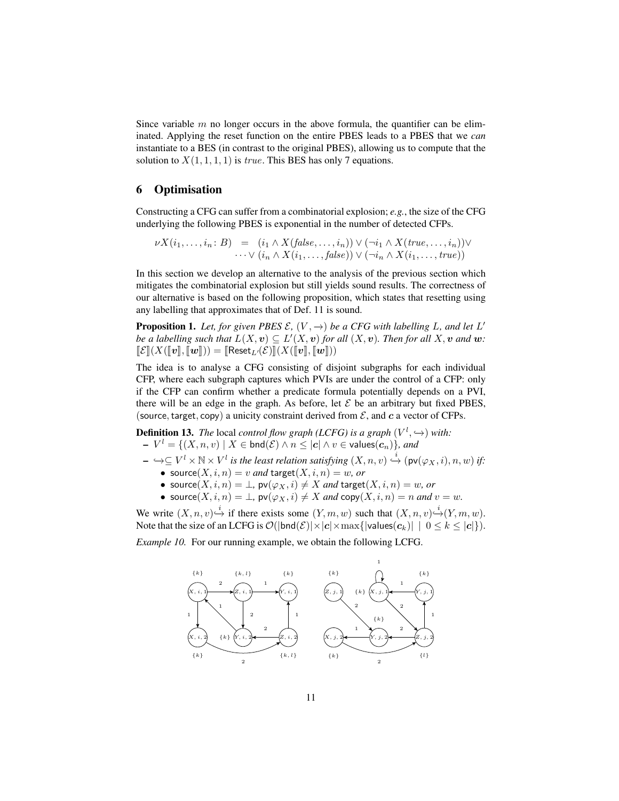Since variable  $m$  no longer occurs in the above formula, the quantifier can be eliminated. Applying the reset function on the entire PBES leads to a PBES that we *can* instantiate to a BES (in contrast to the original PBES), allowing us to compute that the solution to  $X(1, 1, 1, 1)$  is *true*. This BES has only 7 equations.

### 6 Optimisation

Constructing a CFG can suffer from a combinatorial explosion; *e.g.*, the size of the CFG underlying the following PBES is exponential in the number of detected CFPs.

 $\nu X(i_1, \ldots, i_n : B) = (i_1 \wedge X(false, \ldots, i_n)) \vee (\neg i_1 \wedge X(true, \ldots, i_n)) \vee$  $\cdots \vee (i_n \wedge X(i_1, \ldots, \text{false})) \vee (\neg i_n \wedge X(i_1, \ldots, \text{true}))$ 

In this section we develop an alternative to the analysis of the previous section which mitigates the combinatorial explosion but still yields sound results. The correctness of our alternative is based on the following proposition, which states that resetting using any labelling that approximates that of Def. 11 is sound.

**Proposition 1.** Let, for given PBES  $\mathcal{E}$ ,  $(V, \rightarrow)$  be a CFG with labelling L, and let L' *be a labelling such that*  $L(X, v) \subseteq L'(X, v)$  *for all*  $(X, v)$ *. Then for all*  $X, v$  *and*  $w$ *:*  $\llbracket \mathcal{E} \rrbracket(X(\llbracket \boldsymbol{v} \rrbracket, \llbracket \boldsymbol{w} \rrbracket)) = \llbracket \mathsf{Reset}_{L'}(\mathcal{E}) \rrbracket(X(\llbracket \boldsymbol{v} \rrbracket, \llbracket \boldsymbol{w} \rrbracket))$ 

The idea is to analyse a CFG consisting of disjoint subgraphs for each individual CFP, where each subgraph captures which PVIs are under the control of a CFP: only if the CFP can confirm whether a predicate formula potentially depends on a PVI, there will be an edge in the graph. As before, let  $\mathcal E$  be an arbitrary but fixed PBES, (source, target, copy) a unicity constraint derived from  $\mathcal{E}$ , and  $\mathcal{C}$  a vector of CFPs.

**Definition 13.** *The* local *control flow graph* (*LCFG*) is a graph  $(V^l, \hookrightarrow)$  *with:*  $V^l = \{(X,n,v) \mid X \in \mathsf{bnd}(\mathcal{E}) \land n \leq |\bm{c}| \land v \in \mathsf{values}(\bm{c}_n)\},$  *and* 

- 
- $\hookrightarrow \subseteq V^l$  × N × V<sup>l</sup> is the least relation satisfying  $(X, n, v) \stackrel{i}{\hookrightarrow} (\mathsf{pv}(\varphi_X, i), n, w)$  if:
	- source $(X, i, n) = v$  *and* target $(X, i, n) = w$ , *or*
	- source $(X, i, n) = \bot$ ,  $pv(\varphi_X, i) \neq X$  *and* target $(X, i, n) = w$ , *or*
	- source $(X, i, n) = \bot$ ,  $pv(\varphi_X, i) \neq X$  *and* copy $(X, i, n) = n$  *and*  $v = w$ .

We write  $(X, n, v) \stackrel{i}{\hookrightarrow}$  if there exists some  $(Y, m, w)$  such that  $(X, n, v) \stackrel{i}{\hookrightarrow} (Y, m, w)$ . Note that the size of an LCFG is  $\mathcal{O}(|\text{bnd}(\mathcal{E})| \times |\mathbf{c}| \times \max\{|\text{values}(\mathbf{c}_k)| \mid 0 \le k \le |\mathbf{c}|\}).$ 

*Example 10.* For our running example, we obtain the following LCFG.

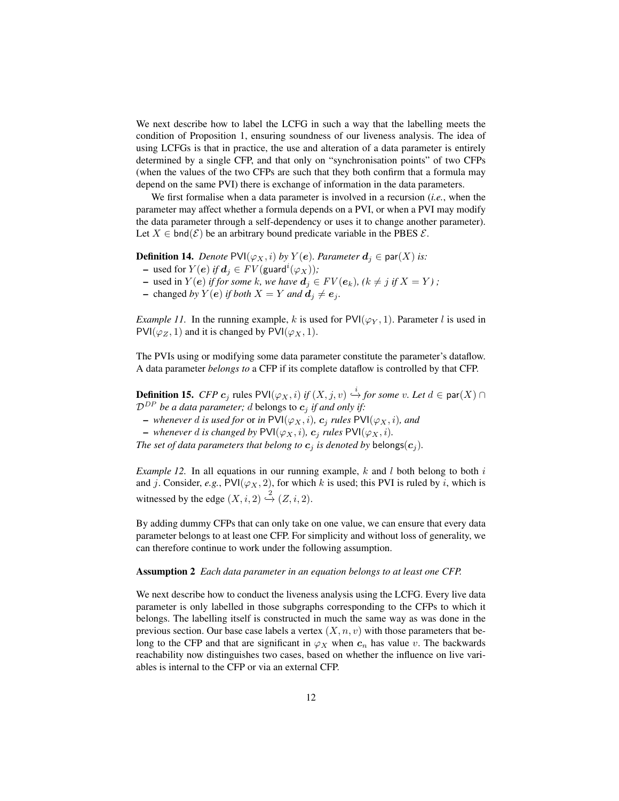We next describe how to label the LCFG in such a way that the labelling meets the condition of Proposition 1, ensuring soundness of our liveness analysis. The idea of using LCFGs is that in practice, the use and alteration of a data parameter is entirely determined by a single CFP, and that only on "synchronisation points" of two CFPs (when the values of the two CFPs are such that they both confirm that a formula may depend on the same PVI) there is exchange of information in the data parameters.

We first formalise when a data parameter is involved in a recursion (*i.e.*, when the parameter may affect whether a formula depends on a PVI, or when a PVI may modify the data parameter through a self-dependency or uses it to change another parameter). Let  $X \in \text{bnd}(\mathcal{E})$  be an arbitrary bound predicate variable in the PBES  $\mathcal{E}$ .

## **Definition 14.** *Denote*  $PVI(\varphi_X, i)$  *by*  $Y(e)$ *. Parameter*  $d_i \in \text{par}(X)$  *is:*

- $-$  used for  $Y(e)$  *if*  $d_j ∈ FV$ (guard<sup>*i*</sup>( $\varphi_X$ ));
- − used in  $Y(e)$  *if for some*  $k$ *, we have*  $d_i \in FV(e_k)$ *,*  $(k \neq j$  *if*  $X = Y)$ *;*
- changed *by*  $Y(e)$  *if both*  $X = Y$  *and*  $d_j \neq e_j$ *.*

*Example 11.* In the running example, k is used for  $PVI(\varphi_Y, 1)$ . Parameter l is used in PVI( $\varphi_Z$ , 1) and it is changed by PVI( $\varphi_X$ , 1).

The PVIs using or modifying some data parameter constitute the parameter's dataflow. A data parameter *belongs to* a CFP if its complete dataflow is controlled by that CFP.

**Definition 15.**  $CFP \ c_j$  rules PVI( $\varphi_X, i$ ) *if*  $(X, j, v) \stackrel{i}{\hookrightarrow}$  *for some*  $v$ *. Let*  $d \in \text{par}(X) \cap$  $\mathcal{D}^{DP}$  *be a data parameter; d* belongs to  $c_j$  *if and only if:* 

- $-$  *whenever* d *is used for* or *in* PVI( $\varphi_X$ , *i*)*,*  $c_j$  *rules* PVI( $\varphi_X$ , *i*)*,* and
- *whenever d is changed by*  $PVI(\varphi_X, i)$ *,*  $c_j$  *rules*  $PVI(\varphi_X, i)$ *.*

*The set of data parameters that belong to*  $c_i$  *is denoted by* belongs( $c_i$ ).

*Example 12.* In all equations in our running example,  $k$  and  $l$  both belong to both  $i$ and j. Consider, e.g.,  $PVI(\varphi_X, 2)$ , for which k is used; this PVI is ruled by i, which is witnessed by the edge  $(X, i, 2) \stackrel{2}{\hookrightarrow} (Z, i, 2)$ .

By adding dummy CFPs that can only take on one value, we can ensure that every data parameter belongs to at least one CFP. For simplicity and without loss of generality, we can therefore continue to work under the following assumption.

#### Assumption 2 *Each data parameter in an equation belongs to at least one CFP.*

We next describe how to conduct the liveness analysis using the LCFG. Every live data parameter is only labelled in those subgraphs corresponding to the CFPs to which it belongs. The labelling itself is constructed in much the same way as was done in the previous section. Our base case labels a vertex  $(X, n, v)$  with those parameters that belong to the CFP and that are significant in  $\varphi_X$  when  $c_n$  has value v. The backwards reachability now distinguishes two cases, based on whether the influence on live variables is internal to the CFP or via an external CFP.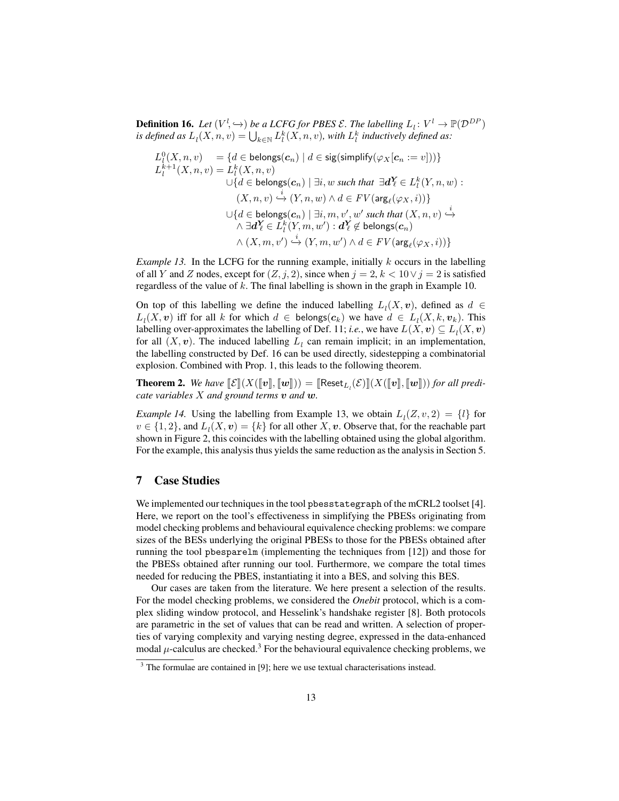**Definition 16.** Let  $(V^l, \hookrightarrow)$  be a LCFG for PBES E. The labelling  $L_l: V^l \to \mathbb{P}(\mathcal{D}^{DP})$ is defined as  $L_l(X, n, v) = \bigcup_{k \in \mathbb{N}} L_l^k(X, n, v)$ , with  $L_l^k$  inductively defined as:

$$
L_l^0(X, n, v) = \{d \in \text{belongs}(c_n) \mid d \in \text{sig}(\text{simplify}(\varphi_X[c_n := v]))\}
$$
  
\n
$$
L_l^{k+1}(X, n, v) = L_l^k(X, n, v)
$$
  
\n
$$
\cup \{d \in \text{belongs}(c_n) \mid \exists i, w \text{ such that } \exists d_i^Y \in L_l^k(Y, n, w) :
$$
  
\n
$$
(X, n, v) \stackrel{i}{\hookrightarrow} (Y, n, w) \land d \in FV(\text{arg}_\ell(\varphi_X, i))\}
$$
  
\n
$$
\cup \{d \in \text{belongs}(c_n) \mid \exists i, m, v', w' \text{ such that } (X, n, v) \stackrel{i}{\hookrightarrow}
$$
  
\n
$$
\land \exists d_i^Y \in L_l^k(Y, m, w') : d_i^Y \notin \text{belongs}(c_n)
$$
  
\n
$$
\land (X, m, v') \stackrel{i}{\hookrightarrow} (Y, m, w') \land d \in FV(\text{arg}_\ell(\varphi_X, i))\}
$$

*Example 13.* In the LCFG for the running example, initially k occurs in the labelling of all Y and Z nodes, except for  $(Z, j, 2)$ , since when  $j = 2, k < 10 \vee j = 2$  is satisfied regardless of the value of  $k$ . The final labelling is shown in the graph in Example 10.

On top of this labelling we define the induced labelling  $L<sub>l</sub>(X, v)$ , defined as  $d \in$  $L_l(X, v)$  iff for all k for which  $d \in$  belongs $(c_k)$  we have  $d \in L_l(X, k, v_k)$ . This labelling over-approximates the labelling of Def. 11; *i.e.*, we have  $L(X, v) \subseteq L<sub>l</sub>(X, v)$ for all  $(X, v)$ . The induced labelling  $L<sub>l</sub>$  can remain implicit; in an implementation, the labelling constructed by Def. 16 can be used directly, sidestepping a combinatorial explosion. Combined with Prop. 1, this leads to the following theorem.

**Theorem 2.** We have  $\llbracket \mathcal{E} \rrbracket(X(\llbracket \mathbf{v} \rrbracket, \llbracket \mathbf{w} \rrbracket)) = \llbracket \text{Reset}_{L_l}(\mathcal{E}) \rrbracket(X(\llbracket \mathbf{v} \rrbracket, \llbracket \mathbf{w} \rrbracket))$  for all predi-<br>cate variables X and around terms x and an *cate variables* X *and ground terms* v *and* w*.*

*Example 14.* Using the labelling from Example 13, we obtain  $L<sub>l</sub>(Z, v, 2) = \{l\}$  for  $v \in \{1, 2\}$ , and  $L_l(X, v) = \{k\}$  for all other X, v. Observe that, for the reachable part shown in Figure 2, this coincides with the labelling obtained using the global algorithm. For the example, this analysis thus yields the same reduction as the analysis in Section 5.

#### 7 Case Studies

We implemented our techniques in the tool pbesstategraph of the mCRL2 toolset [4]. Here, we report on the tool's effectiveness in simplifying the PBESs originating from model checking problems and behavioural equivalence checking problems: we compare sizes of the BESs underlying the original PBESs to those for the PBESs obtained after running the tool pbesparelm (implementing the techniques from [12]) and those for the PBESs obtained after running our tool. Furthermore, we compare the total times needed for reducing the PBES, instantiating it into a BES, and solving this BES.

Our cases are taken from the literature. We here present a selection of the results. For the model checking problems, we considered the *Onebit* protocol, which is a complex sliding window protocol, and Hesselink's handshake register [8]. Both protocols are parametric in the set of values that can be read and written. A selection of properties of varying complexity and varying nesting degree, expressed in the data-enhanced modal  $\mu$ -calculus are checked.<sup>3</sup> For the behavioural equivalence checking problems, we

<sup>&</sup>lt;sup>3</sup> The formulae are contained in [9]; here we use textual characterisations instead.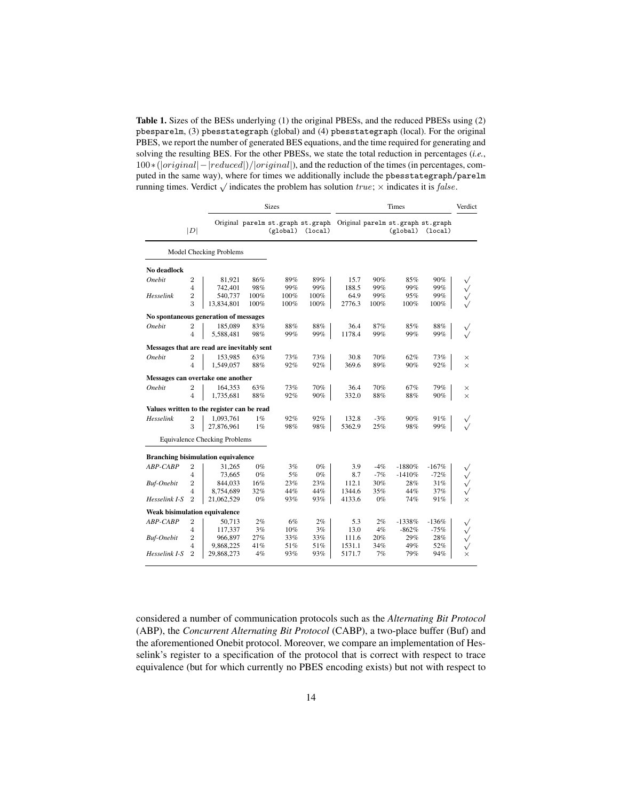Table 1. Sizes of the BESs underlying (1) the original PBESs, and the reduced PBESs using (2) pbesparelm, (3) pbesstategraph (global) and (4) pbesstategraph (local). For the original PBES, we report the number of generated BES equations, and the time required for generating and solving the resulting BES. For the other PBESs, we state the total reduction in percentages (*i.e.*, 100∗(|original|−|reduced|)/|original|), and the reduction of the times (in percentages, computed in the same way), where for times we additionally include the pbesstategraph/parelm puted in the same way), where for three we additionary include the pressure extraparties the problem has solution  $true$ ;  $\times$  indicates it is *false*.

|                                            |                                                    |                                      | <b>Sizes</b>        |                  |                                                                                |                        | Times               |                        |                      |                           |
|--------------------------------------------|----------------------------------------------------|--------------------------------------|---------------------|------------------|--------------------------------------------------------------------------------|------------------------|---------------------|------------------------|----------------------|---------------------------|
|                                            | D                                                  |                                      |                     | (global)         | Original parelm st.graph st.graph Original parelm st.graph st.graph<br>(local) |                        |                     | (global)               | (local)              |                           |
|                                            |                                                    | Model Checking Problems              |                     |                  |                                                                                |                        |                     |                        |                      |                           |
| No deadlock                                |                                                    |                                      |                     |                  |                                                                                |                        |                     |                        |                      |                           |
| Onebit                                     | $\overline{2}$<br>$\overline{4}$                   | 81,921<br>742,401                    | 86%<br>98%          | 89%<br>99%       | 89%<br>99%                                                                     | 15.7<br>188.5          | 90%<br>99%          | 85%<br>99%             | 90%<br>99%           | $\checkmark$              |
| Hesselink                                  | $\overline{2}$<br>3                                | 540,737<br>13,834,801                | 100%<br>100%        | 100%<br>100%     | 100%<br>100%                                                                   | 64.9<br>2776.3         | 99%<br>100%         | 95%<br>100%            | 99%<br>100%          |                           |
| No spontaneous generation of messages      |                                                    |                                      |                     |                  |                                                                                |                        |                     |                        |                      |                           |
| Onebit                                     | $\boldsymbol{2}$<br>4                              | 185,089<br>5,588,481                 | 83%<br>98%          | 88%<br>99%       | 88%<br>99%                                                                     | 36.4<br>1178.4         | 87%<br>99%          | 85%<br>99%             | 88%<br>99%           | $\checkmark$              |
| Messages that are read are inevitably sent |                                                    |                                      |                     |                  |                                                                                |                        |                     |                        |                      |                           |
| Onebit                                     | $\overline{2}$<br>$\overline{4}$                   | 153,985<br>1,549,057                 | 63%<br>88%          | 73%<br>92%       | 73%<br>92%                                                                     | 30.8<br>369.6          | 70%<br>89%          | 62%<br>90%             | 73%<br>92%           | ×<br>$\times$             |
| Messages can overtake one another          |                                                    |                                      |                     |                  |                                                                                |                        |                     |                        |                      |                           |
| Onebit                                     | $\boldsymbol{2}$<br>$\overline{4}$                 | 164.353<br>1,735,681                 | 63%<br>88%          | 73%<br>92%       | 70%<br>90%                                                                     | 36.4<br>332.0          | 70%<br>88%          | 67%<br>88%             | 79%<br>90%           | $\times$<br>$\times$      |
| Values written to the register can be read |                                                    |                                      |                     |                  |                                                                                |                        |                     |                        |                      |                           |
| Hesselink                                  | $\overline{2}$<br>3                                | 1,093,761<br>27,876,961              | 1%<br>1%            | 92%<br>98%       | 92%<br>98%                                                                     | 132.8<br>5362.9        | $-3%$<br>25%        | 90%<br>98%             | 91%<br>99%           | $\checkmark$              |
|                                            |                                                    | <b>Equivalence Checking Problems</b> |                     |                  |                                                                                |                        |                     |                        |                      |                           |
| <b>Branching bisimulation equivalence</b>  |                                                    |                                      |                     |                  |                                                                                |                        |                     |                        |                      |                           |
| ABP-CABP                                   | $\overline{2}$                                     | 31,265                               | $0\%$               | 3%               | $0\%$                                                                          | 3.9                    | $-4%$               | $-1880%$               | $-167%$              | $\sqrt{}$                 |
| <b>Buf-Onebit</b>                          | $\overline{4}$<br>$\overline{2}$<br>$\overline{4}$ | 73,665<br>844,033<br>8,754,689       | $0\%$<br>16%<br>32% | 5%<br>23%<br>44% | $0\%$<br>23%<br>44%                                                            | 8.7<br>112.1<br>1344.6 | $-7%$<br>30%<br>35% | $-1410%$<br>28%<br>44% | $-72%$<br>31%<br>37% | $\sqrt{}$<br>$\checkmark$ |
| Hesselink I-S                              | $\overline{2}$                                     | 21,062,529                           | $0\%$               | 93%              | 93%                                                                            | 4133.6                 | $0\%$               | 74%                    | 91%                  | $\checkmark$<br>$\times$  |
| Weak bisimulation equivalence              |                                                    |                                      |                     |                  |                                                                                |                        |                     |                        |                      |                           |
| ABP-CABP                                   | $\overline{2}$<br>$\overline{4}$                   | 50,713<br>117,337                    | 2%<br>3%            | 6%<br>$10\%$     | 2%<br>3%                                                                       | 5.3<br>13.0            | 2%<br>$4\%$         | $-1338%$<br>$-862\%$   | $-136%$<br>$-75%$    | $\sqrt{}$<br>$\checkmark$ |
| <b>Buf-Onebit</b>                          | $\overline{2}$<br>$\overline{4}$                   | 966,897<br>9,868,225                 | 27%<br>41%          | 33%<br>51%       | 33%<br>51%                                                                     | 111.6<br>1531.1        | 20%<br>34%          | 29%<br>49%             | 28%<br>52%           | $\checkmark$              |
| Hesselink I-S                              | $\overline{2}$                                     | 29,868,273                           | $4\%$               | 93%              | 93%                                                                            | 5171.7                 | 7%                  | 79%                    | 94%                  | $\checkmark$<br>$\times$  |

considered a number of communication protocols such as the *Alternating Bit Protocol* (ABP), the *Concurrent Alternating Bit Protocol* (CABP), a two-place buffer (Buf) and the aforementioned Onebit protocol. Moreover, we compare an implementation of Hesselink's register to a specification of the protocol that is correct with respect to trace equivalence (but for which currently no PBES encoding exists) but not with respect to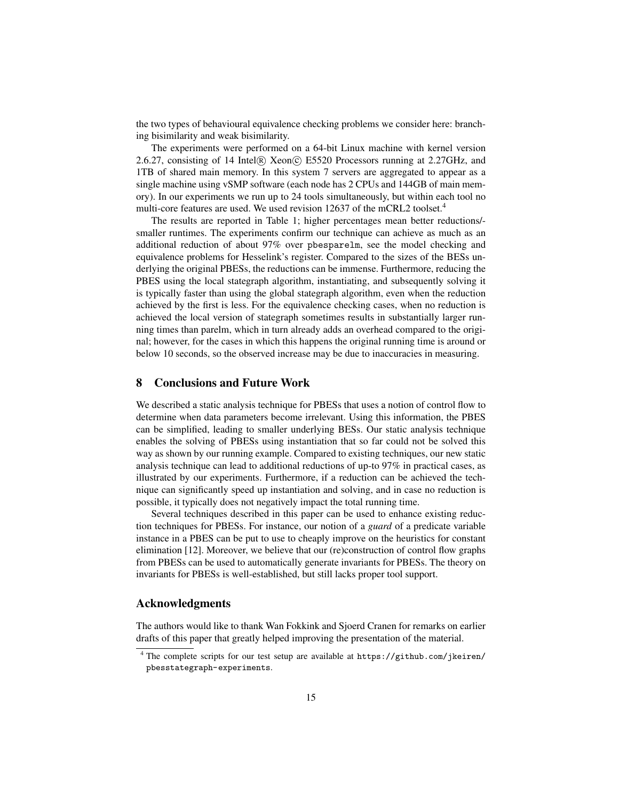the two types of behavioural equivalence checking problems we consider here: branching bisimilarity and weak bisimilarity.

The experiments were performed on a 64-bit Linux machine with kernel version 2.6.27, consisting of 14 Intel® Xeon© E5520 Processors running at 2.27GHz, and 1TB of shared main memory. In this system 7 servers are aggregated to appear as a single machine using vSMP software (each node has 2 CPUs and 144GB of main memory). In our experiments we run up to 24 tools simultaneously, but within each tool no multi-core features are used. We used revision 12637 of the mCRL2 toolset.<sup>4</sup>

The results are reported in Table 1; higher percentages mean better reductions/ smaller runtimes. The experiments confirm our technique can achieve as much as an additional reduction of about 97% over pbesparelm, see the model checking and equivalence problems for Hesselink's register. Compared to the sizes of the BESs underlying the original PBESs, the reductions can be immense. Furthermore, reducing the PBES using the local stategraph algorithm, instantiating, and subsequently solving it is typically faster than using the global stategraph algorithm, even when the reduction achieved by the first is less. For the equivalence checking cases, when no reduction is achieved the local version of stategraph sometimes results in substantially larger running times than parelm, which in turn already adds an overhead compared to the original; however, for the cases in which this happens the original running time is around or below 10 seconds, so the observed increase may be due to inaccuracies in measuring.

# 8 Conclusions and Future Work

We described a static analysis technique for PBESs that uses a notion of control flow to determine when data parameters become irrelevant. Using this information, the PBES can be simplified, leading to smaller underlying BESs. Our static analysis technique enables the solving of PBESs using instantiation that so far could not be solved this way as shown by our running example. Compared to existing techniques, our new static analysis technique can lead to additional reductions of up-to 97% in practical cases, as illustrated by our experiments. Furthermore, if a reduction can be achieved the technique can significantly speed up instantiation and solving, and in case no reduction is possible, it typically does not negatively impact the total running time.

Several techniques described in this paper can be used to enhance existing reduction techniques for PBESs. For instance, our notion of a *guard* of a predicate variable instance in a PBES can be put to use to cheaply improve on the heuristics for constant elimination [12]. Moreover, we believe that our (re)construction of control flow graphs from PBESs can be used to automatically generate invariants for PBESs. The theory on invariants for PBESs is well-established, but still lacks proper tool support.

#### Acknowledgments

The authors would like to thank Wan Fokkink and Sjoerd Cranen for remarks on earlier drafts of this paper that greatly helped improving the presentation of the material.

<sup>4</sup> The complete scripts for our test setup are available at https://github.com/jkeiren/ pbesstategraph-experiments.